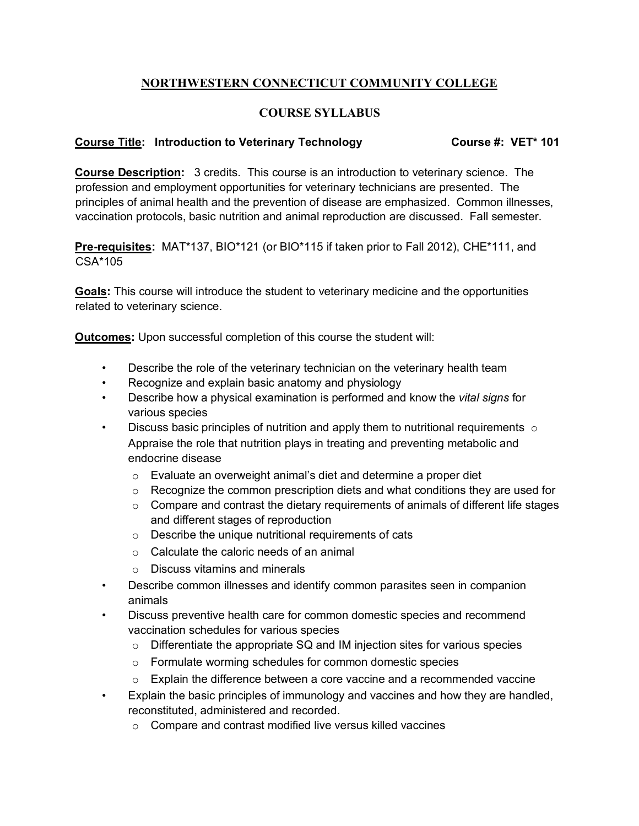## **NORTHWESTERN CONNECTICUT COMMUNITY COLLEGE**

## **COURSE SYLLABUS**

## **Course Title: Introduction to Veterinary Technology Course #: VET\* 101**

**Course Description:** 3 credits. This course is an introduction to veterinary science. The profession and employment opportunities for veterinary technicians are presented. The principles of animal health and the prevention of disease are emphasized. Common illnesses, vaccination protocols, basic nutrition and animal reproduction are discussed. Fall semester.

**Pre-requisites:** MAT\*137, BIO\*121 (or BIO\*115 if taken prior to Fall 2012), CHE\*111, and CSA\*105

**Goals:** This course will introduce the student to veterinary medicine and the opportunities related to veterinary science.

**Outcomes:** Upon successful completion of this course the student will:

- Describe the role of the veterinary technician on the veterinary health team
- Recognize and explain basic anatomy and physiology
- Describe how a physical examination is performed and know the *vital signs* for various species
- Discuss basic principles of nutrition and apply them to nutritional requirements  $\circ$ Appraise the role that nutrition plays in treating and preventing metabolic and endocrine disease
	- o Evaluate an overweight animal's diet and determine a proper diet
	- $\circ$  Recognize the common prescription diets and what conditions they are used for
	- $\circ$  Compare and contrast the dietary requirements of animals of different life stages and different stages of reproduction
	- o Describe the unique nutritional requirements of cats
	- o Calculate the caloric needs of an animal
	- o Discuss vitamins and minerals
- Describe common illnesses and identify common parasites seen in companion animals
- Discuss preventive health care for common domestic species and recommend vaccination schedules for various species
	- $\circ$  Differentiate the appropriate SQ and IM injection sites for various species
	- o Formulate worming schedules for common domestic species
	- $\circ$  Explain the difference between a core vaccine and a recommended vaccine
- Explain the basic principles of immunology and vaccines and how they are handled, reconstituted, administered and recorded.
	- o Compare and contrast modified live versus killed vaccines